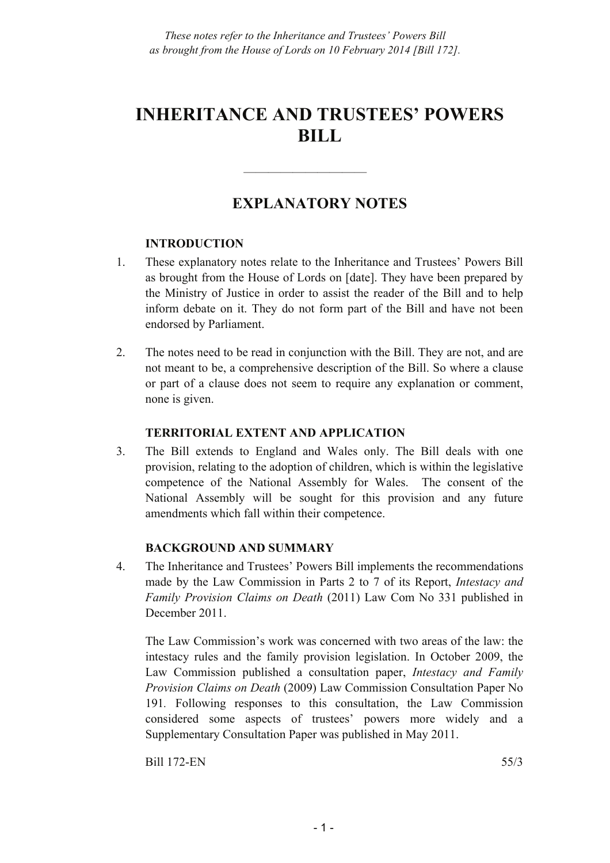# **INHERITANCE AND TRUSTEES' POWERS BILL**

## **EXPLANATORY NOTES**

——————————

## **INTRODUCTION**

- 1. These explanatory notes relate to the Inheritance and Trustees' Powers Bill as brought from the House of Lords on [date]. They have been prepared by the Ministry of Justice in order to assist the reader of the Bill and to help inform debate on it. They do not form part of the Bill and have not been endorsed by Parliament.
- 2. The notes need to be read in conjunction with the Bill. They are not, and are not meant to be, a comprehensive description of the Bill. So where a clause or part of a clause does not seem to require any explanation or comment, none is given.

## **TERRITORIAL EXTENT AND APPLICATION**

3. The Bill extends to England and Wales only. The Bill deals with one provision, relating to the adoption of children, which is within the legislative competence of the National Assembly for Wales. The consent of the National Assembly will be sought for this provision and any future amendments which fall within their competence.

## **BACKGROUND AND SUMMARY**

4. The Inheritance and Trustees' Powers Bill implements the recommendations made by the Law Commission in Parts 2 to 7 of its Report, *Intestacy and Family Provision Claims on Death* (2011) Law Com No 331 published in December 2011.

The Law Commission's work was concerned with two areas of the law: the intestacy rules and the family provision legislation. In October 2009, the Law Commission published a consultation paper, *Intestacy and Family Provision Claims on Death* (2009) Law Commission Consultation Paper No 191*.* Following responses to this consultation, the Law Commission considered some aspects of trustees' powers more widely and a Supplementary Consultation Paper was published in May 2011.

Bill 172-EN 55/3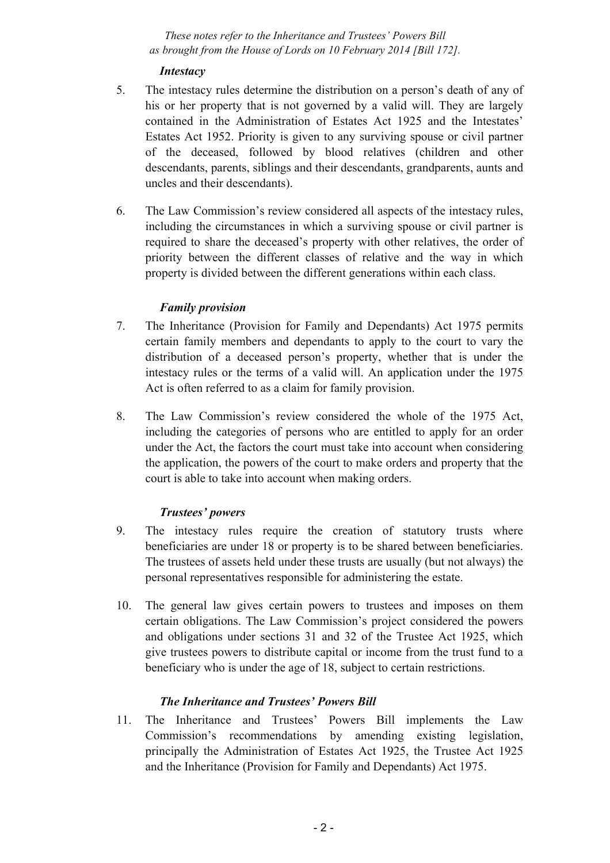## *Intestacy*

- 5. The intestacy rules determine the distribution on a person's death of any of his or her property that is not governed by a valid will. They are largely contained in the Administration of Estates Act 1925 and the Intestates' Estates Act 1952. Priority is given to any surviving spouse or civil partner of the deceased, followed by blood relatives (children and other descendants, parents, siblings and their descendants, grandparents, aunts and uncles and their descendants).
- 6. The Law Commission's review considered all aspects of the intestacy rules, including the circumstances in which a surviving spouse or civil partner is required to share the deceased's property with other relatives, the order of priority between the different classes of relative and the way in which property is divided between the different generations within each class.

## *Family provision*

- 7. The Inheritance (Provision for Family and Dependants) Act 1975 permits certain family members and dependants to apply to the court to vary the distribution of a deceased person's property, whether that is under the intestacy rules or the terms of a valid will. An application under the 1975 Act is often referred to as a claim for family provision.
- 8. The Law Commission's review considered the whole of the 1975 Act, including the categories of persons who are entitled to apply for an order under the Act, the factors the court must take into account when considering the application, the powers of the court to make orders and property that the court is able to take into account when making orders.

## *Trustees' powers*

- 9. The intestacy rules require the creation of statutory trusts where beneficiaries are under 18 or property is to be shared between beneficiaries. The trustees of assets held under these trusts are usually (but not always) the personal representatives responsible for administering the estate.
- 10. The general law gives certain powers to trustees and imposes on them certain obligations. The Law Commission's project considered the powers and obligations under sections 31 and 32 of the Trustee Act 1925, which give trustees powers to distribute capital or income from the trust fund to a beneficiary who is under the age of 18, subject to certain restrictions.

## *The Inheritance and Trustees' Powers Bill*

11. The Inheritance and Trustees' Powers Bill implements the Law Commission's recommendations by amending existing legislation, principally the Administration of Estates Act 1925, the Trustee Act 1925 and the Inheritance (Provision for Family and Dependants) Act 1975.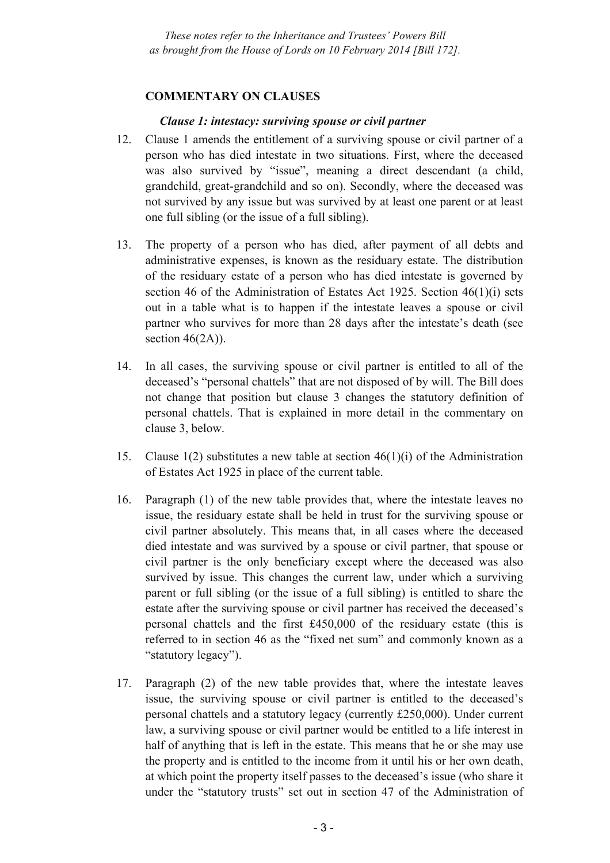#### **COMMENTARY ON CLAUSES**

#### *Clause 1: intestacy: surviving spouse or civil partner*

- 12. Clause 1 amends the entitlement of a surviving spouse or civil partner of a person who has died intestate in two situations. First, where the deceased was also survived by "issue", meaning a direct descendant (a child, grandchild, great-grandchild and so on). Secondly, where the deceased was not survived by any issue but was survived by at least one parent or at least one full sibling (or the issue of a full sibling).
- 13. The property of a person who has died, after payment of all debts and administrative expenses, is known as the residuary estate. The distribution of the residuary estate of a person who has died intestate is governed by section 46 of the Administration of Estates Act 1925. Section 46(1)(i) sets out in a table what is to happen if the intestate leaves a spouse or civil partner who survives for more than 28 days after the intestate's death (see section  $46(2A)$ ).
- 14. In all cases, the surviving spouse or civil partner is entitled to all of the deceased's "personal chattels" that are not disposed of by will. The Bill does not change that position but clause 3 changes the statutory definition of personal chattels. That is explained in more detail in the commentary on clause 3, below.
- 15. Clause 1(2) substitutes a new table at section 46(1)(i) of the Administration of Estates Act 1925 in place of the current table.
- 16. Paragraph (1) of the new table provides that, where the intestate leaves no issue, the residuary estate shall be held in trust for the surviving spouse or civil partner absolutely. This means that, in all cases where the deceased died intestate and was survived by a spouse or civil partner, that spouse or civil partner is the only beneficiary except where the deceased was also survived by issue. This changes the current law, under which a surviving parent or full sibling (or the issue of a full sibling) is entitled to share the estate after the surviving spouse or civil partner has received the deceased's personal chattels and the first £450,000 of the residuary estate (this is referred to in section 46 as the "fixed net sum" and commonly known as a "statutory legacy").
- 17. Paragraph (2) of the new table provides that, where the intestate leaves issue, the surviving spouse or civil partner is entitled to the deceased's personal chattels and a statutory legacy (currently £250,000). Under current law, a surviving spouse or civil partner would be entitled to a life interest in half of anything that is left in the estate. This means that he or she may use the property and is entitled to the income from it until his or her own death, at which point the property itself passes to the deceased's issue (who share it under the "statutory trusts" set out in section 47 of the Administration of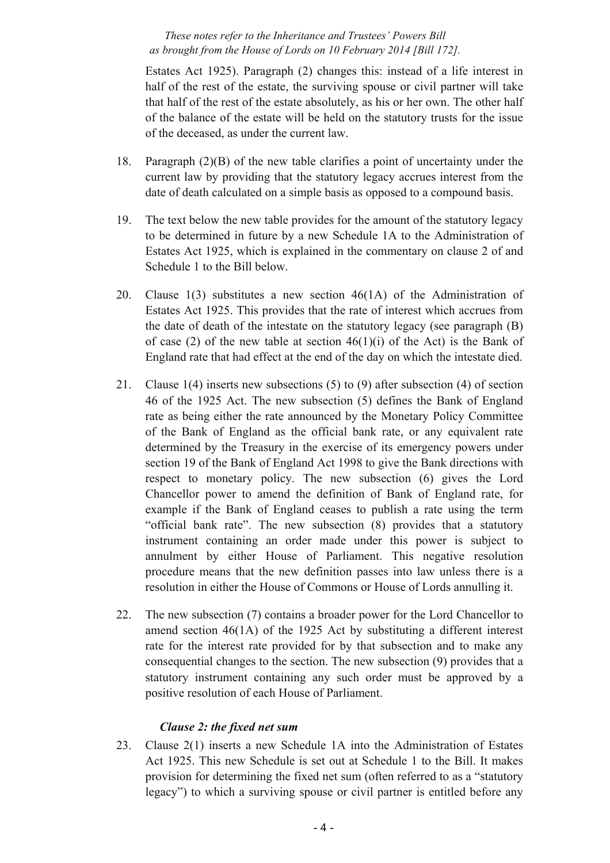Estates Act 1925). Paragraph (2) changes this: instead of a life interest in half of the rest of the estate, the surviving spouse or civil partner will take that half of the rest of the estate absolutely, as his or her own. The other half of the balance of the estate will be held on the statutory trusts for the issue of the deceased, as under the current law.

- 18. Paragraph (2)(B) of the new table clarifies a point of uncertainty under the current law by providing that the statutory legacy accrues interest from the date of death calculated on a simple basis as opposed to a compound basis.
- 19. The text below the new table provides for the amount of the statutory legacy to be determined in future by a new Schedule 1A to the Administration of Estates Act 1925, which is explained in the commentary on clause 2 of and Schedule 1 to the Bill below.
- 20. Clause 1(3) substitutes a new section 46(1A) of the Administration of Estates Act 1925. This provides that the rate of interest which accrues from the date of death of the intestate on the statutory legacy (see paragraph (B) of case (2) of the new table at section  $46(1)(i)$  of the Act) is the Bank of England rate that had effect at the end of the day on which the intestate died.
- 21. Clause 1(4) inserts new subsections (5) to (9) after subsection (4) of section 46 of the 1925 Act. The new subsection (5) defines the Bank of England rate as being either the rate announced by the Monetary Policy Committee of the Bank of England as the official bank rate, or any equivalent rate determined by the Treasury in the exercise of its emergency powers under section 19 of the Bank of England Act 1998 to give the Bank directions with respect to monetary policy. The new subsection (6) gives the Lord Chancellor power to amend the definition of Bank of England rate, for example if the Bank of England ceases to publish a rate using the term "official bank rate". The new subsection (8) provides that a statutory instrument containing an order made under this power is subject to annulment by either House of Parliament. This negative resolution procedure means that the new definition passes into law unless there is a resolution in either the House of Commons or House of Lords annulling it.
- 22. The new subsection (7) contains a broader power for the Lord Chancellor to amend section 46(1A) of the 1925 Act by substituting a different interest rate for the interest rate provided for by that subsection and to make any consequential changes to the section. The new subsection (9) provides that a statutory instrument containing any such order must be approved by a positive resolution of each House of Parliament.

## *Clause 2: the fixed net sum*

23. Clause 2(1) inserts a new Schedule 1A into the Administration of Estates Act 1925. This new Schedule is set out at Schedule 1 to the Bill. It makes provision for determining the fixed net sum (often referred to as a "statutory legacy") to which a surviving spouse or civil partner is entitled before any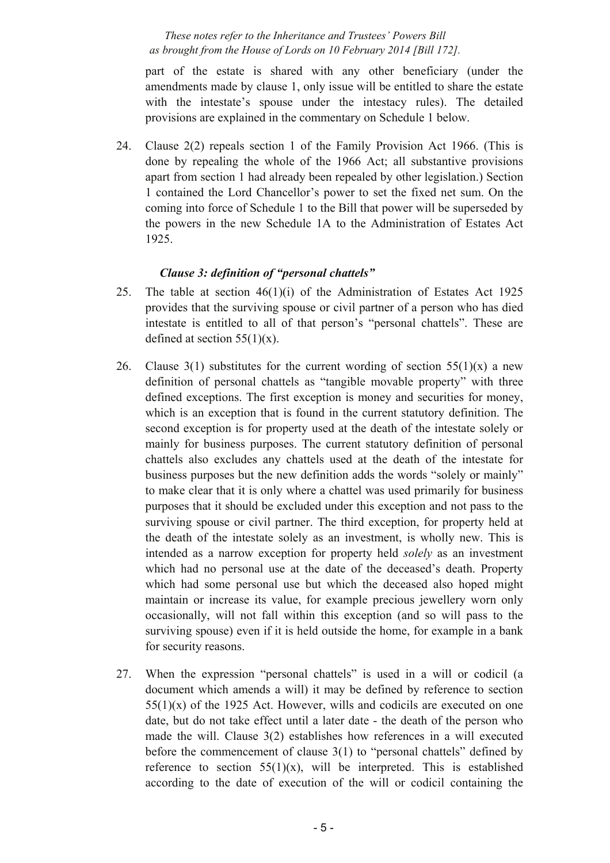part of the estate is shared with any other beneficiary (under the amendments made by clause 1, only issue will be entitled to share the estate with the intestate's spouse under the intestacy rules). The detailed provisions are explained in the commentary on Schedule 1 below.

24. Clause 2(2) repeals section 1 of the Family Provision Act 1966. (This is done by repealing the whole of the 1966 Act; all substantive provisions apart from section 1 had already been repealed by other legislation.) Section 1 contained the Lord Chancellor's power to set the fixed net sum. On the coming into force of Schedule 1 to the Bill that power will be superseded by the powers in the new Schedule 1A to the Administration of Estates Act 1925.

## *Clause 3: definition of "personal chattels"*

- 25. The table at section 46(1)(i) of the Administration of Estates Act 1925 provides that the surviving spouse or civil partner of a person who has died intestate is entitled to all of that person's "personal chattels". These are defined at section  $55(1)(x)$ .
- 26. Clause 3(1) substitutes for the current wording of section  $55(1)(x)$  a new definition of personal chattels as "tangible movable property" with three defined exceptions. The first exception is money and securities for money, which is an exception that is found in the current statutory definition. The second exception is for property used at the death of the intestate solely or mainly for business purposes. The current statutory definition of personal chattels also excludes any chattels used at the death of the intestate for business purposes but the new definition adds the words "solely or mainly" to make clear that it is only where a chattel was used primarily for business purposes that it should be excluded under this exception and not pass to the surviving spouse or civil partner. The third exception, for property held at the death of the intestate solely as an investment, is wholly new. This is intended as a narrow exception for property held *solely* as an investment which had no personal use at the date of the deceased's death. Property which had some personal use but which the deceased also hoped might maintain or increase its value, for example precious jewellery worn only occasionally, will not fall within this exception (and so will pass to the surviving spouse) even if it is held outside the home, for example in a bank for security reasons.
- 27. When the expression "personal chattels" is used in a will or codicil (a document which amends a will) it may be defined by reference to section  $55(1)(x)$  of the 1925 Act. However, wills and codicils are executed on one date, but do not take effect until a later date - the death of the person who made the will. Clause 3(2) establishes how references in a will executed before the commencement of clause 3(1) to "personal chattels" defined by reference to section  $55(1)(x)$ , will be interpreted. This is established according to the date of execution of the will or codicil containing the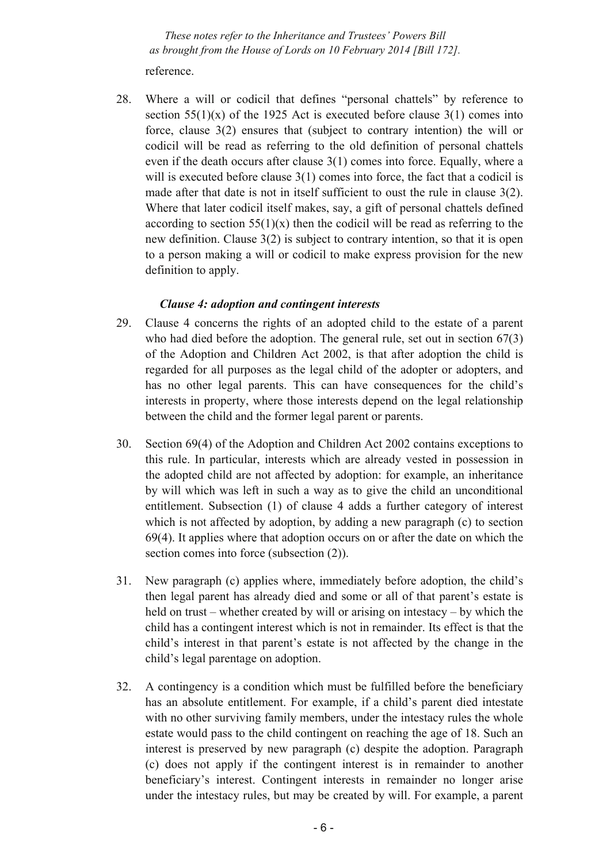reference.

28. Where a will or codicil that defines "personal chattels" by reference to section  $55(1)(x)$  of the 1925 Act is executed before clause 3(1) comes into force, clause 3(2) ensures that (subject to contrary intention) the will or codicil will be read as referring to the old definition of personal chattels even if the death occurs after clause 3(1) comes into force. Equally, where a will is executed before clause 3(1) comes into force, the fact that a codicil is made after that date is not in itself sufficient to oust the rule in clause 3(2). Where that later codicil itself makes, say, a gift of personal chattels defined according to section  $55(1)(x)$  then the codicil will be read as referring to the new definition. Clause 3(2) is subject to contrary intention, so that it is open to a person making a will or codicil to make express provision for the new definition to apply.

## *Clause 4: adoption and contingent interests*

- 29. Clause 4 concerns the rights of an adopted child to the estate of a parent who had died before the adoption. The general rule, set out in section 67(3) of the Adoption and Children Act 2002, is that after adoption the child is regarded for all purposes as the legal child of the adopter or adopters, and has no other legal parents. This can have consequences for the child's interests in property, where those interests depend on the legal relationship between the child and the former legal parent or parents.
- 30. Section 69(4) of the Adoption and Children Act 2002 contains exceptions to this rule. In particular, interests which are already vested in possession in the adopted child are not affected by adoption: for example, an inheritance by will which was left in such a way as to give the child an unconditional entitlement. Subsection (1) of clause 4 adds a further category of interest which is not affected by adoption, by adding a new paragraph (c) to section 69(4). It applies where that adoption occurs on or after the date on which the section comes into force (subsection (2)).
- 31. New paragraph (c) applies where, immediately before adoption, the child's then legal parent has already died and some or all of that parent's estate is held on trust – whether created by will or arising on intestacy – by which the child has a contingent interest which is not in remainder. Its effect is that the child's interest in that parent's estate is not affected by the change in the child's legal parentage on adoption.
- 32. A contingency is a condition which must be fulfilled before the beneficiary has an absolute entitlement. For example, if a child's parent died intestate with no other surviving family members, under the intestacy rules the whole estate would pass to the child contingent on reaching the age of 18. Such an interest is preserved by new paragraph (c) despite the adoption. Paragraph (c) does not apply if the contingent interest is in remainder to another beneficiary's interest. Contingent interests in remainder no longer arise under the intestacy rules, but may be created by will. For example, a parent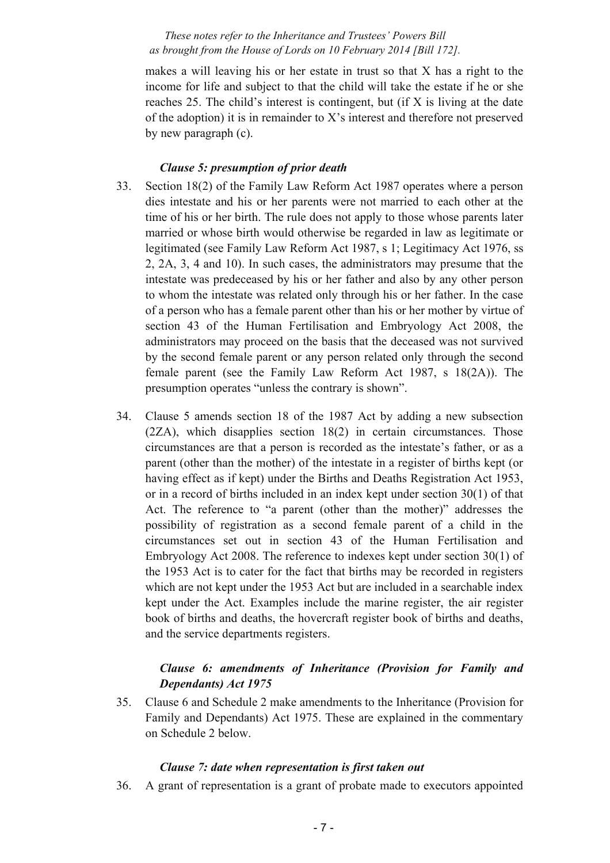makes a will leaving his or her estate in trust so that X has a right to the income for life and subject to that the child will take the estate if he or she reaches 25. The child's interest is contingent, but (if X is living at the date of the adoption) it is in remainder to X's interest and therefore not preserved by new paragraph (c).

## *Clause 5: presumption of prior death*

- 33. Section 18(2) of the Family Law Reform Act 1987 operates where a person dies intestate and his or her parents were not married to each other at the time of his or her birth. The rule does not apply to those whose parents later married or whose birth would otherwise be regarded in law as legitimate or legitimated (see Family Law Reform Act 1987, s 1; Legitimacy Act 1976, ss 2, 2A, 3, 4 and 10). In such cases, the administrators may presume that the intestate was predeceased by his or her father and also by any other person to whom the intestate was related only through his or her father. In the case of a person who has a female parent other than his or her mother by virtue of section 43 of the Human Fertilisation and Embryology Act 2008, the administrators may proceed on the basis that the deceased was not survived by the second female parent or any person related only through the second female parent (see the Family Law Reform Act 1987, s 18(2A)). The presumption operates "unless the contrary is shown".
- 34. Clause 5 amends section 18 of the 1987 Act by adding a new subsection (2ZA), which disapplies section 18(2) in certain circumstances. Those circumstances are that a person is recorded as the intestate's father, or as a parent (other than the mother) of the intestate in a register of births kept (or having effect as if kept) under the Births and Deaths Registration Act 1953, or in a record of births included in an index kept under section 30(1) of that Act. The reference to "a parent (other than the mother)" addresses the possibility of registration as a second female parent of a child in the circumstances set out in section 43 of the Human Fertilisation and Embryology Act 2008. The reference to indexes kept under section 30(1) of the 1953 Act is to cater for the fact that births may be recorded in registers which are not kept under the 1953 Act but are included in a searchable index kept under the Act. Examples include the marine register, the air register book of births and deaths, the hovercraft register book of births and deaths, and the service departments registers.

## *Clause 6: amendments of Inheritance (Provision for Family and Dependants) Act 1975*

35. Clause 6 and Schedule 2 make amendments to the Inheritance (Provision for Family and Dependants) Act 1975. These are explained in the commentary on Schedule 2 below.

#### *Clause 7: date when representation is first taken out*

36. A grant of representation is a grant of probate made to executors appointed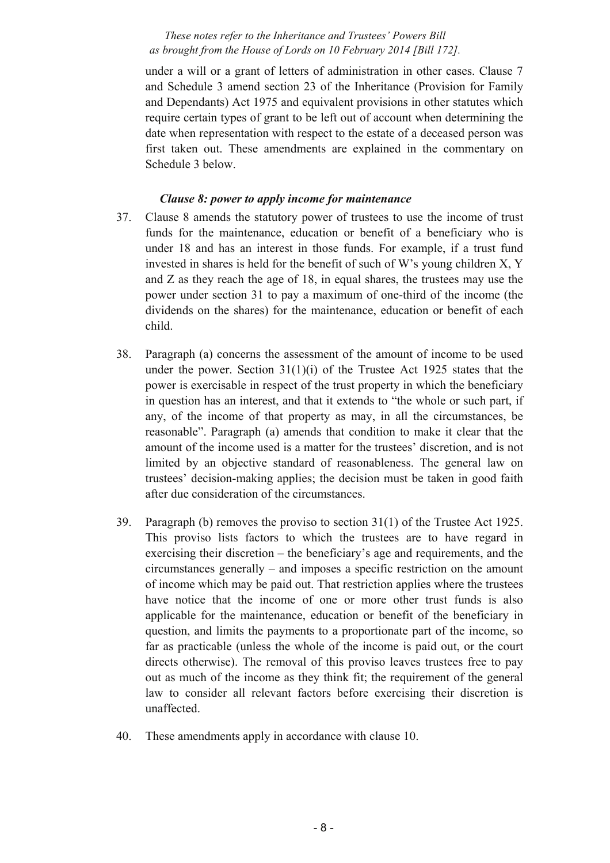under a will or a grant of letters of administration in other cases. Clause 7 and Schedule 3 amend section 23 of the Inheritance (Provision for Family and Dependants) Act 1975 and equivalent provisions in other statutes which require certain types of grant to be left out of account when determining the date when representation with respect to the estate of a deceased person was first taken out. These amendments are explained in the commentary on Schedule 3 below.

#### *Clause 8: power to apply income for maintenance*

- 37. Clause 8 amends the statutory power of trustees to use the income of trust funds for the maintenance, education or benefit of a beneficiary who is under 18 and has an interest in those funds. For example, if a trust fund invested in shares is held for the benefit of such of W's young children X, Y and Z as they reach the age of 18, in equal shares, the trustees may use the power under section 31 to pay a maximum of one-third of the income (the dividends on the shares) for the maintenance, education or benefit of each child.
- 38. Paragraph (a) concerns the assessment of the amount of income to be used under the power. Section  $31(1)(i)$  of the Trustee Act 1925 states that the power is exercisable in respect of the trust property in which the beneficiary in question has an interest, and that it extends to "the whole or such part, if any, of the income of that property as may, in all the circumstances, be reasonable". Paragraph (a) amends that condition to make it clear that the amount of the income used is a matter for the trustees' discretion, and is not limited by an objective standard of reasonableness. The general law on trustees' decision-making applies; the decision must be taken in good faith after due consideration of the circumstances.
- 39. Paragraph (b) removes the proviso to section 31(1) of the Trustee Act 1925. This proviso lists factors to which the trustees are to have regard in exercising their discretion – the beneficiary's age and requirements, and the circumstances generally – and imposes a specific restriction on the amount of income which may be paid out. That restriction applies where the trustees have notice that the income of one or more other trust funds is also applicable for the maintenance, education or benefit of the beneficiary in question, and limits the payments to a proportionate part of the income, so far as practicable (unless the whole of the income is paid out, or the court directs otherwise). The removal of this proviso leaves trustees free to pay out as much of the income as they think fit; the requirement of the general law to consider all relevant factors before exercising their discretion is unaffected.
- 40. These amendments apply in accordance with clause 10.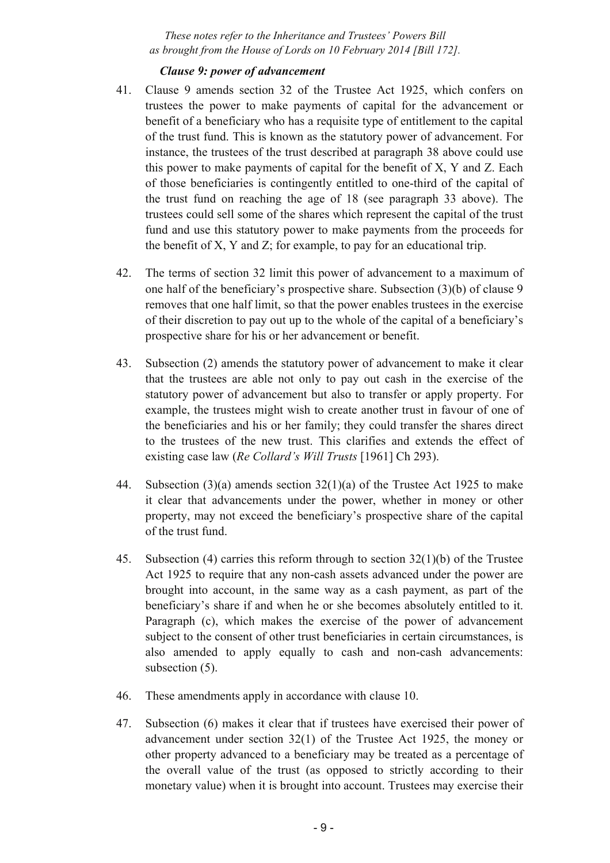#### *Clause 9: power of advancement*

- 41. Clause 9 amends section 32 of the Trustee Act 1925, which confers on trustees the power to make payments of capital for the advancement or benefit of a beneficiary who has a requisite type of entitlement to the capital of the trust fund. This is known as the statutory power of advancement. For instance, the trustees of the trust described at paragraph 38 above could use this power to make payments of capital for the benefit of X, Y and Z. Each of those beneficiaries is contingently entitled to one-third of the capital of the trust fund on reaching the age of 18 (see paragraph 33 above). The trustees could sell some of the shares which represent the capital of the trust fund and use this statutory power to make payments from the proceeds for the benefit of X, Y and Z; for example, to pay for an educational trip.
- 42. The terms of section 32 limit this power of advancement to a maximum of one half of the beneficiary's prospective share. Subsection (3)(b) of clause 9 removes that one half limit, so that the power enables trustees in the exercise of their discretion to pay out up to the whole of the capital of a beneficiary's prospective share for his or her advancement or benefit.
- 43. Subsection (2) amends the statutory power of advancement to make it clear that the trustees are able not only to pay out cash in the exercise of the statutory power of advancement but also to transfer or apply property. For example, the trustees might wish to create another trust in favour of one of the beneficiaries and his or her family; they could transfer the shares direct to the trustees of the new trust. This clarifies and extends the effect of existing case law (*Re Collard's Will Trusts* [1961] Ch 293).
- 44. Subsection  $(3)(a)$  amends section  $32(1)(a)$  of the Trustee Act 1925 to make it clear that advancements under the power, whether in money or other property, may not exceed the beneficiary's prospective share of the capital of the trust fund.
- 45. Subsection (4) carries this reform through to section 32(1)(b) of the Trustee Act 1925 to require that any non-cash assets advanced under the power are brought into account, in the same way as a cash payment, as part of the beneficiary's share if and when he or she becomes absolutely entitled to it. Paragraph (c), which makes the exercise of the power of advancement subject to the consent of other trust beneficiaries in certain circumstances, is also amended to apply equally to cash and non-cash advancements: subsection  $(5)$ .
- 46. These amendments apply in accordance with clause 10.
- 47. Subsection (6) makes it clear that if trustees have exercised their power of advancement under section 32(1) of the Trustee Act 1925, the money or other property advanced to a beneficiary may be treated as a percentage of the overall value of the trust (as opposed to strictly according to their monetary value) when it is brought into account. Trustees may exercise their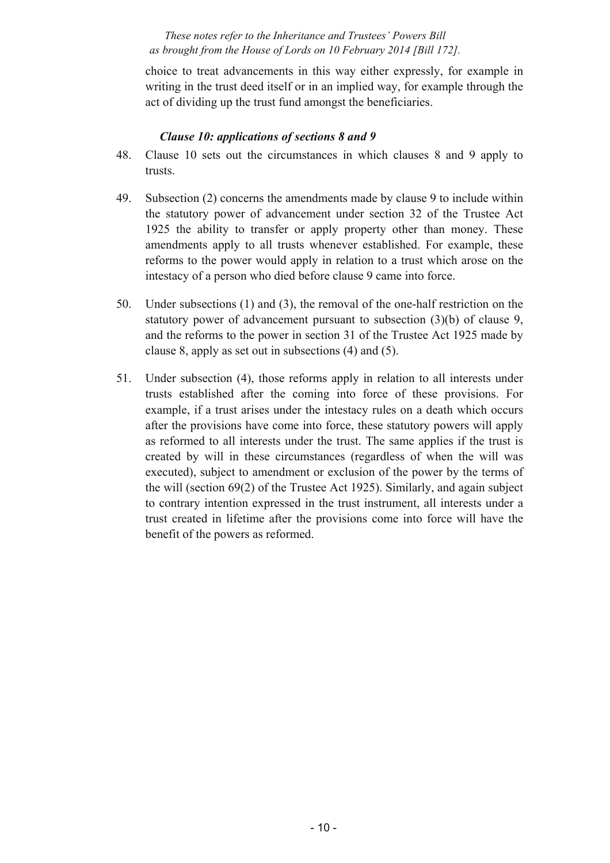choice to treat advancements in this way either expressly, for example in writing in the trust deed itself or in an implied way, for example through the act of dividing up the trust fund amongst the beneficiaries.

## *Clause 10: applications of sections 8 and 9*

- 48. Clause 10 sets out the circumstances in which clauses 8 and 9 apply to trusts.
- 49. Subsection (2) concerns the amendments made by clause 9 to include within the statutory power of advancement under section 32 of the Trustee Act 1925 the ability to transfer or apply property other than money. These amendments apply to all trusts whenever established. For example, these reforms to the power would apply in relation to a trust which arose on the intestacy of a person who died before clause 9 came into force.
- 50. Under subsections (1) and (3), the removal of the one-half restriction on the statutory power of advancement pursuant to subsection (3)(b) of clause 9, and the reforms to the power in section 31 of the Trustee Act 1925 made by clause 8, apply as set out in subsections (4) and (5).
- 51. Under subsection (4), those reforms apply in relation to all interests under trusts established after the coming into force of these provisions. For example, if a trust arises under the intestacy rules on a death which occurs after the provisions have come into force, these statutory powers will apply as reformed to all interests under the trust. The same applies if the trust is created by will in these circumstances (regardless of when the will was executed), subject to amendment or exclusion of the power by the terms of the will (section 69(2) of the Trustee Act 1925). Similarly, and again subject to contrary intention expressed in the trust instrument, all interests under a trust created in lifetime after the provisions come into force will have the benefit of the powers as reformed.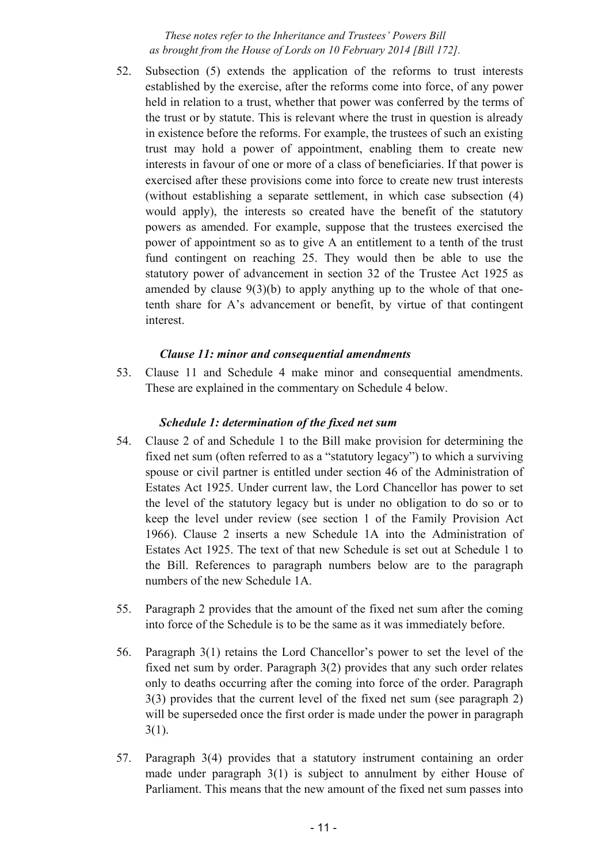52. Subsection (5) extends the application of the reforms to trust interests established by the exercise, after the reforms come into force, of any power held in relation to a trust, whether that power was conferred by the terms of the trust or by statute. This is relevant where the trust in question is already in existence before the reforms. For example, the trustees of such an existing trust may hold a power of appointment, enabling them to create new interests in favour of one or more of a class of beneficiaries. If that power is exercised after these provisions come into force to create new trust interests (without establishing a separate settlement, in which case subsection (4) would apply), the interests so created have the benefit of the statutory powers as amended. For example, suppose that the trustees exercised the power of appointment so as to give A an entitlement to a tenth of the trust fund contingent on reaching 25. They would then be able to use the statutory power of advancement in section 32 of the Trustee Act 1925 as amended by clause  $9(3)(b)$  to apply anything up to the whole of that onetenth share for A's advancement or benefit, by virtue of that contingent interest.

## *Clause 11: minor and consequential amendments*

53. Clause 11 and Schedule 4 make minor and consequential amendments. These are explained in the commentary on Schedule 4 below.

## *Schedule 1: determination of the fixed net sum*

- 54. Clause 2 of and Schedule 1 to the Bill make provision for determining the fixed net sum (often referred to as a "statutory legacy") to which a surviving spouse or civil partner is entitled under section 46 of the Administration of Estates Act 1925. Under current law, the Lord Chancellor has power to set the level of the statutory legacy but is under no obligation to do so or to keep the level under review (see section 1 of the Family Provision Act 1966). Clause 2 inserts a new Schedule 1A into the Administration of Estates Act 1925. The text of that new Schedule is set out at Schedule 1 to the Bill. References to paragraph numbers below are to the paragraph numbers of the new Schedule 1A.
- 55. Paragraph 2 provides that the amount of the fixed net sum after the coming into force of the Schedule is to be the same as it was immediately before.
- 56. Paragraph 3(1) retains the Lord Chancellor's power to set the level of the fixed net sum by order. Paragraph 3(2) provides that any such order relates only to deaths occurring after the coming into force of the order. Paragraph 3(3) provides that the current level of the fixed net sum (see paragraph 2) will be superseded once the first order is made under the power in paragraph  $3(1)$ .
- 57. Paragraph 3(4) provides that a statutory instrument containing an order made under paragraph 3(1) is subject to annulment by either House of Parliament. This means that the new amount of the fixed net sum passes into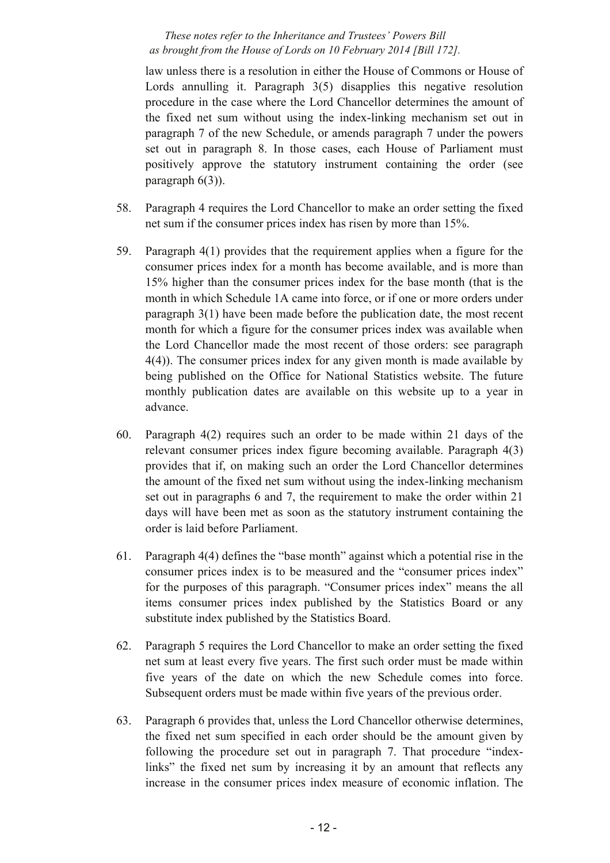law unless there is a resolution in either the House of Commons or House of Lords annulling it. Paragraph 3(5) disapplies this negative resolution procedure in the case where the Lord Chancellor determines the amount of the fixed net sum without using the index-linking mechanism set out in paragraph 7 of the new Schedule, or amends paragraph 7 under the powers set out in paragraph 8. In those cases, each House of Parliament must positively approve the statutory instrument containing the order (see paragraph 6(3)).

- 58. Paragraph 4 requires the Lord Chancellor to make an order setting the fixed net sum if the consumer prices index has risen by more than 15%.
- 59. Paragraph 4(1) provides that the requirement applies when a figure for the consumer prices index for a month has become available, and is more than 15% higher than the consumer prices index for the base month (that is the month in which Schedule 1A came into force, or if one or more orders under paragraph 3(1) have been made before the publication date, the most recent month for which a figure for the consumer prices index was available when the Lord Chancellor made the most recent of those orders: see paragraph 4(4)). The consumer prices index for any given month is made available by being published on the Office for National Statistics website. The future monthly publication dates are available on this website up to a year in advance.
- 60. Paragraph 4(2) requires such an order to be made within 21 days of the relevant consumer prices index figure becoming available. Paragraph 4(3) provides that if, on making such an order the Lord Chancellor determines the amount of the fixed net sum without using the index-linking mechanism set out in paragraphs 6 and 7, the requirement to make the order within 21 days will have been met as soon as the statutory instrument containing the order is laid before Parliament.
- 61. Paragraph 4(4) defines the "base month" against which a potential rise in the consumer prices index is to be measured and the "consumer prices index" for the purposes of this paragraph. "Consumer prices index" means the all items consumer prices index published by the Statistics Board or any substitute index published by the Statistics Board.
- 62. Paragraph 5 requires the Lord Chancellor to make an order setting the fixed net sum at least every five years. The first such order must be made within five years of the date on which the new Schedule comes into force. Subsequent orders must be made within five years of the previous order.
- 63. Paragraph 6 provides that, unless the Lord Chancellor otherwise determines, the fixed net sum specified in each order should be the amount given by following the procedure set out in paragraph 7. That procedure "indexlinks" the fixed net sum by increasing it by an amount that reflects any increase in the consumer prices index measure of economic inflation. The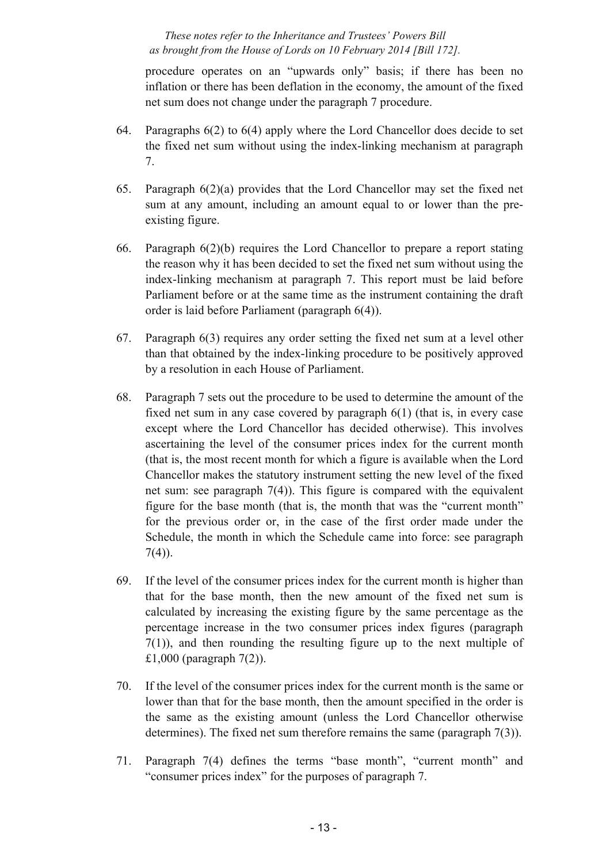procedure operates on an "upwards only" basis; if there has been no inflation or there has been deflation in the economy, the amount of the fixed net sum does not change under the paragraph 7 procedure.

- 64. Paragraphs 6(2) to 6(4) apply where the Lord Chancellor does decide to set the fixed net sum without using the index-linking mechanism at paragraph 7.
- 65. Paragraph 6(2)(a) provides that the Lord Chancellor may set the fixed net sum at any amount, including an amount equal to or lower than the preexisting figure.
- 66. Paragraph 6(2)(b) requires the Lord Chancellor to prepare a report stating the reason why it has been decided to set the fixed net sum without using the index-linking mechanism at paragraph 7. This report must be laid before Parliament before or at the same time as the instrument containing the draft order is laid before Parliament (paragraph 6(4)).
- 67. Paragraph 6(3) requires any order setting the fixed net sum at a level other than that obtained by the index-linking procedure to be positively approved by a resolution in each House of Parliament.
- 68. Paragraph 7 sets out the procedure to be used to determine the amount of the fixed net sum in any case covered by paragraph 6(1) (that is, in every case except where the Lord Chancellor has decided otherwise). This involves ascertaining the level of the consumer prices index for the current month (that is, the most recent month for which a figure is available when the Lord Chancellor makes the statutory instrument setting the new level of the fixed net sum: see paragraph 7(4)). This figure is compared with the equivalent figure for the base month (that is, the month that was the "current month" for the previous order or, in the case of the first order made under the Schedule, the month in which the Schedule came into force: see paragraph  $7(4)$ ).
- 69. If the level of the consumer prices index for the current month is higher than that for the base month, then the new amount of the fixed net sum is calculated by increasing the existing figure by the same percentage as the percentage increase in the two consumer prices index figures (paragraph 7(1)), and then rounding the resulting figure up to the next multiple of £1,000 (paragraph 7(2)).
- 70. If the level of the consumer prices index for the current month is the same or lower than that for the base month, then the amount specified in the order is the same as the existing amount (unless the Lord Chancellor otherwise determines). The fixed net sum therefore remains the same (paragraph 7(3)).
- 71. Paragraph 7(4) defines the terms "base month", "current month" and "consumer prices index" for the purposes of paragraph 7.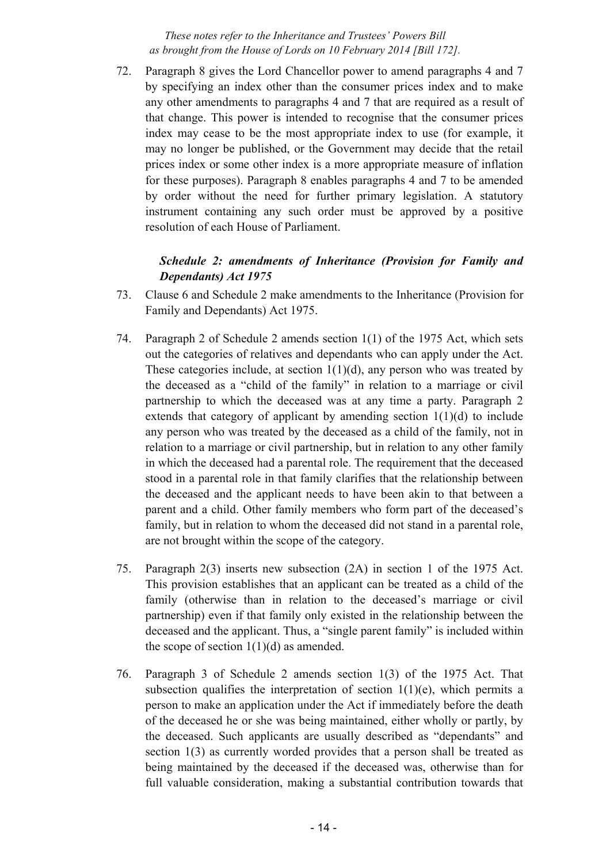72. Paragraph 8 gives the Lord Chancellor power to amend paragraphs 4 and 7 by specifying an index other than the consumer prices index and to make any other amendments to paragraphs 4 and 7 that are required as a result of that change. This power is intended to recognise that the consumer prices index may cease to be the most appropriate index to use (for example, it may no longer be published, or the Government may decide that the retail prices index or some other index is a more appropriate measure of inflation for these purposes). Paragraph 8 enables paragraphs 4 and 7 to be amended by order without the need for further primary legislation. A statutory instrument containing any such order must be approved by a positive resolution of each House of Parliament.

## *Schedule 2: amendments of Inheritance (Provision for Family and Dependants) Act 1975*

- 73. Clause 6 and Schedule 2 make amendments to the Inheritance (Provision for Family and Dependants) Act 1975.
- 74. Paragraph 2 of Schedule 2 amends section 1(1) of the 1975 Act, which sets out the categories of relatives and dependants who can apply under the Act. These categories include, at section  $1(1)(d)$ , any person who was treated by the deceased as a "child of the family" in relation to a marriage or civil partnership to which the deceased was at any time a party. Paragraph 2 extends that category of applicant by amending section  $1(1)(d)$  to include any person who was treated by the deceased as a child of the family, not in relation to a marriage or civil partnership, but in relation to any other family in which the deceased had a parental role. The requirement that the deceased stood in a parental role in that family clarifies that the relationship between the deceased and the applicant needs to have been akin to that between a parent and a child. Other family members who form part of the deceased's family, but in relation to whom the deceased did not stand in a parental role, are not brought within the scope of the category.
- 75. Paragraph 2(3) inserts new subsection (2A) in section 1 of the 1975 Act. This provision establishes that an applicant can be treated as a child of the family (otherwise than in relation to the deceased's marriage or civil partnership) even if that family only existed in the relationship between the deceased and the applicant. Thus, a "single parent family" is included within the scope of section  $1(1)(d)$  as amended.
- 76. Paragraph 3 of Schedule 2 amends section 1(3) of the 1975 Act. That subsection qualifies the interpretation of section  $1(1)(e)$ , which permits a person to make an application under the Act if immediately before the death of the deceased he or she was being maintained, either wholly or partly, by the deceased. Such applicants are usually described as "dependants" and section 1(3) as currently worded provides that a person shall be treated as being maintained by the deceased if the deceased was, otherwise than for full valuable consideration, making a substantial contribution towards that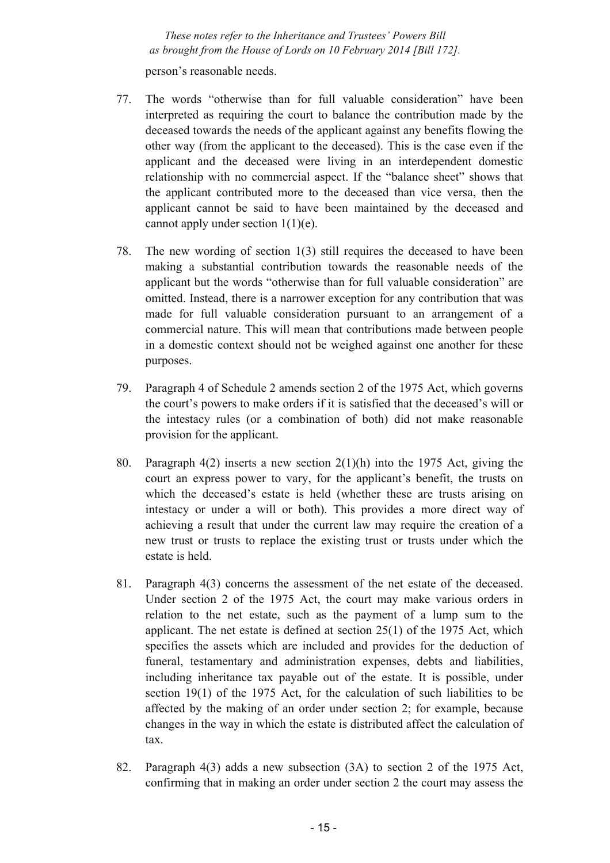person's reasonable needs.

- 77. The words "otherwise than for full valuable consideration" have been interpreted as requiring the court to balance the contribution made by the deceased towards the needs of the applicant against any benefits flowing the other way (from the applicant to the deceased). This is the case even if the applicant and the deceased were living in an interdependent domestic relationship with no commercial aspect. If the "balance sheet" shows that the applicant contributed more to the deceased than vice versa, then the applicant cannot be said to have been maintained by the deceased and cannot apply under section  $1(1)(e)$ .
- 78. The new wording of section 1(3) still requires the deceased to have been making a substantial contribution towards the reasonable needs of the applicant but the words "otherwise than for full valuable consideration" are omitted. Instead, there is a narrower exception for any contribution that was made for full valuable consideration pursuant to an arrangement of a commercial nature. This will mean that contributions made between people in a domestic context should not be weighed against one another for these purposes.
- 79. Paragraph 4 of Schedule 2 amends section 2 of the 1975 Act, which governs the court's powers to make orders if it is satisfied that the deceased's will or the intestacy rules (or a combination of both) did not make reasonable provision for the applicant.
- 80. Paragraph 4(2) inserts a new section 2(1)(h) into the 1975 Act, giving the court an express power to vary, for the applicant's benefit, the trusts on which the deceased's estate is held (whether these are trusts arising on intestacy or under a will or both). This provides a more direct way of achieving a result that under the current law may require the creation of a new trust or trusts to replace the existing trust or trusts under which the estate is held.
- 81. Paragraph 4(3) concerns the assessment of the net estate of the deceased. Under section 2 of the 1975 Act, the court may make various orders in relation to the net estate, such as the payment of a lump sum to the applicant. The net estate is defined at section 25(1) of the 1975 Act, which specifies the assets which are included and provides for the deduction of funeral, testamentary and administration expenses, debts and liabilities, including inheritance tax payable out of the estate. It is possible, under section 19(1) of the 1975 Act, for the calculation of such liabilities to be affected by the making of an order under section 2; for example, because changes in the way in which the estate is distributed affect the calculation of tax.
- 82. Paragraph 4(3) adds a new subsection (3A) to section 2 of the 1975 Act, confirming that in making an order under section 2 the court may assess the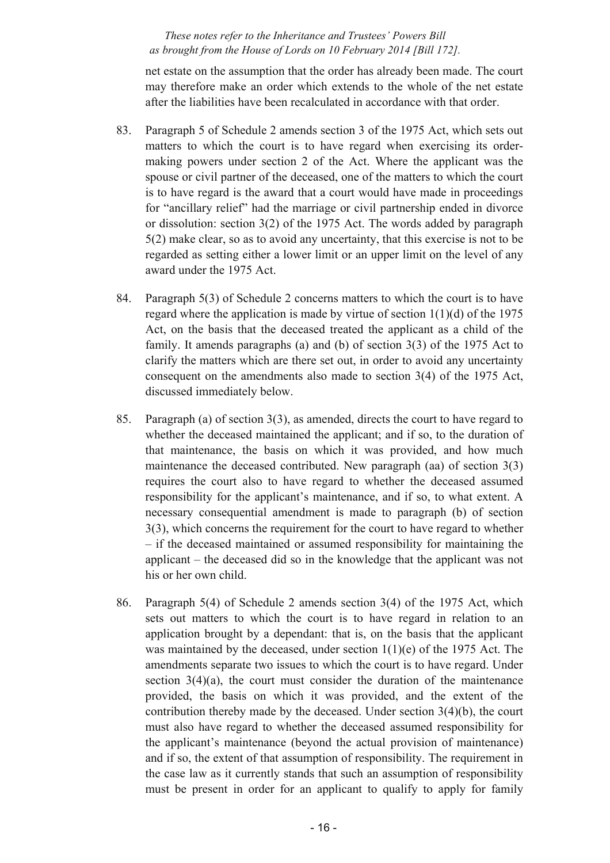net estate on the assumption that the order has already been made. The court may therefore make an order which extends to the whole of the net estate after the liabilities have been recalculated in accordance with that order.

- 83. Paragraph 5 of Schedule 2 amends section 3 of the 1975 Act, which sets out matters to which the court is to have regard when exercising its ordermaking powers under section 2 of the Act. Where the applicant was the spouse or civil partner of the deceased, one of the matters to which the court is to have regard is the award that a court would have made in proceedings for "ancillary relief" had the marriage or civil partnership ended in divorce or dissolution: section 3(2) of the 1975 Act. The words added by paragraph 5(2) make clear, so as to avoid any uncertainty, that this exercise is not to be regarded as setting either a lower limit or an upper limit on the level of any award under the 1975 Act.
- 84. Paragraph 5(3) of Schedule 2 concerns matters to which the court is to have regard where the application is made by virtue of section  $1(1)(d)$  of the 1975 Act, on the basis that the deceased treated the applicant as a child of the family. It amends paragraphs (a) and (b) of section 3(3) of the 1975 Act to clarify the matters which are there set out, in order to avoid any uncertainty consequent on the amendments also made to section 3(4) of the 1975 Act, discussed immediately below.
- 85. Paragraph (a) of section 3(3), as amended, directs the court to have regard to whether the deceased maintained the applicant; and if so, to the duration of that maintenance, the basis on which it was provided, and how much maintenance the deceased contributed. New paragraph (aa) of section 3(3) requires the court also to have regard to whether the deceased assumed responsibility for the applicant's maintenance, and if so, to what extent. A necessary consequential amendment is made to paragraph (b) of section 3(3), which concerns the requirement for the court to have regard to whether – if the deceased maintained or assumed responsibility for maintaining the applicant – the deceased did so in the knowledge that the applicant was not his or her own child.
- 86. Paragraph 5(4) of Schedule 2 amends section 3(4) of the 1975 Act, which sets out matters to which the court is to have regard in relation to an application brought by a dependant: that is, on the basis that the applicant was maintained by the deceased, under section 1(1)(e) of the 1975 Act. The amendments separate two issues to which the court is to have regard. Under section  $3(4)(a)$ , the court must consider the duration of the maintenance provided, the basis on which it was provided, and the extent of the contribution thereby made by the deceased. Under section 3(4)(b), the court must also have regard to whether the deceased assumed responsibility for the applicant's maintenance (beyond the actual provision of maintenance) and if so, the extent of that assumption of responsibility. The requirement in the case law as it currently stands that such an assumption of responsibility must be present in order for an applicant to qualify to apply for family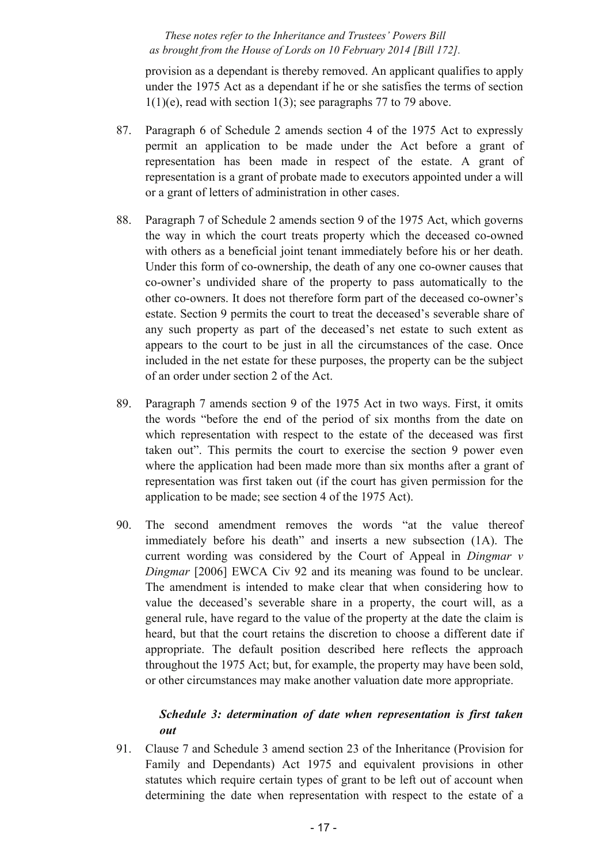provision as a dependant is thereby removed. An applicant qualifies to apply under the 1975 Act as a dependant if he or she satisfies the terms of section  $1(1)(e)$ , read with section  $1(3)$ ; see paragraphs 77 to 79 above.

- 87. Paragraph 6 of Schedule 2 amends section 4 of the 1975 Act to expressly permit an application to be made under the Act before a grant of representation has been made in respect of the estate. A grant of representation is a grant of probate made to executors appointed under a will or a grant of letters of administration in other cases.
- 88. Paragraph 7 of Schedule 2 amends section 9 of the 1975 Act, which governs the way in which the court treats property which the deceased co-owned with others as a beneficial joint tenant immediately before his or her death. Under this form of co-ownership, the death of any one co-owner causes that co-owner's undivided share of the property to pass automatically to the other co-owners. It does not therefore form part of the deceased co-owner's estate. Section 9 permits the court to treat the deceased's severable share of any such property as part of the deceased's net estate to such extent as appears to the court to be just in all the circumstances of the case. Once included in the net estate for these purposes, the property can be the subject of an order under section 2 of the Act.
- 89. Paragraph 7 amends section 9 of the 1975 Act in two ways. First, it omits the words "before the end of the period of six months from the date on which representation with respect to the estate of the deceased was first taken out". This permits the court to exercise the section 9 power even where the application had been made more than six months after a grant of representation was first taken out (if the court has given permission for the application to be made; see section 4 of the 1975 Act).
- 90. The second amendment removes the words "at the value thereof immediately before his death" and inserts a new subsection (1A). The current wording was considered by the Court of Appeal in *Dingmar v Dingmar* [2006] EWCA Civ 92 and its meaning was found to be unclear. The amendment is intended to make clear that when considering how to value the deceased's severable share in a property, the court will, as a general rule, have regard to the value of the property at the date the claim is heard, but that the court retains the discretion to choose a different date if appropriate. The default position described here reflects the approach throughout the 1975 Act; but, for example, the property may have been sold, or other circumstances may make another valuation date more appropriate.

## *Schedule 3: determination of date when representation is first taken out*

91. Clause 7 and Schedule 3 amend section 23 of the Inheritance (Provision for Family and Dependants) Act 1975 and equivalent provisions in other statutes which require certain types of grant to be left out of account when determining the date when representation with respect to the estate of a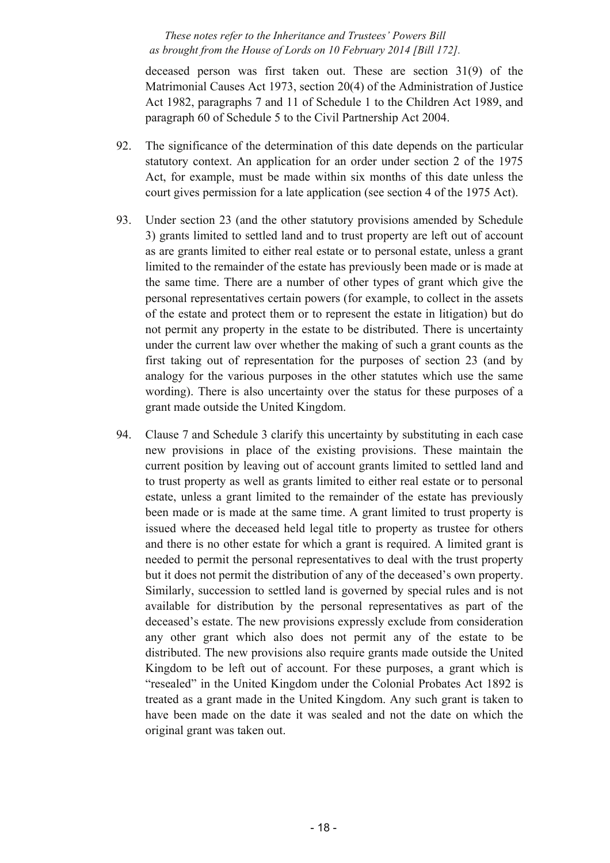deceased person was first taken out. These are section 31(9) of the Matrimonial Causes Act 1973, section 20(4) of the Administration of Justice Act 1982, paragraphs 7 and 11 of Schedule 1 to the Children Act 1989, and paragraph 60 of Schedule 5 to the Civil Partnership Act 2004.

- 92. The significance of the determination of this date depends on the particular statutory context. An application for an order under section 2 of the 1975 Act, for example, must be made within six months of this date unless the court gives permission for a late application (see section 4 of the 1975 Act).
- 93. Under section 23 (and the other statutory provisions amended by Schedule 3) grants limited to settled land and to trust property are left out of account as are grants limited to either real estate or to personal estate, unless a grant limited to the remainder of the estate has previously been made or is made at the same time. There are a number of other types of grant which give the personal representatives certain powers (for example, to collect in the assets of the estate and protect them or to represent the estate in litigation) but do not permit any property in the estate to be distributed. There is uncertainty under the current law over whether the making of such a grant counts as the first taking out of representation for the purposes of section 23 (and by analogy for the various purposes in the other statutes which use the same wording). There is also uncertainty over the status for these purposes of a grant made outside the United Kingdom.
- 94. Clause 7 and Schedule 3 clarify this uncertainty by substituting in each case new provisions in place of the existing provisions. These maintain the current position by leaving out of account grants limited to settled land and to trust property as well as grants limited to either real estate or to personal estate, unless a grant limited to the remainder of the estate has previously been made or is made at the same time. A grant limited to trust property is issued where the deceased held legal title to property as trustee for others and there is no other estate for which a grant is required. A limited grant is needed to permit the personal representatives to deal with the trust property but it does not permit the distribution of any of the deceased's own property. Similarly, succession to settled land is governed by special rules and is not available for distribution by the personal representatives as part of the deceased's estate. The new provisions expressly exclude from consideration any other grant which also does not permit any of the estate to be distributed. The new provisions also require grants made outside the United Kingdom to be left out of account. For these purposes, a grant which is "resealed" in the United Kingdom under the Colonial Probates Act 1892 is treated as a grant made in the United Kingdom. Any such grant is taken to have been made on the date it was sealed and not the date on which the original grant was taken out.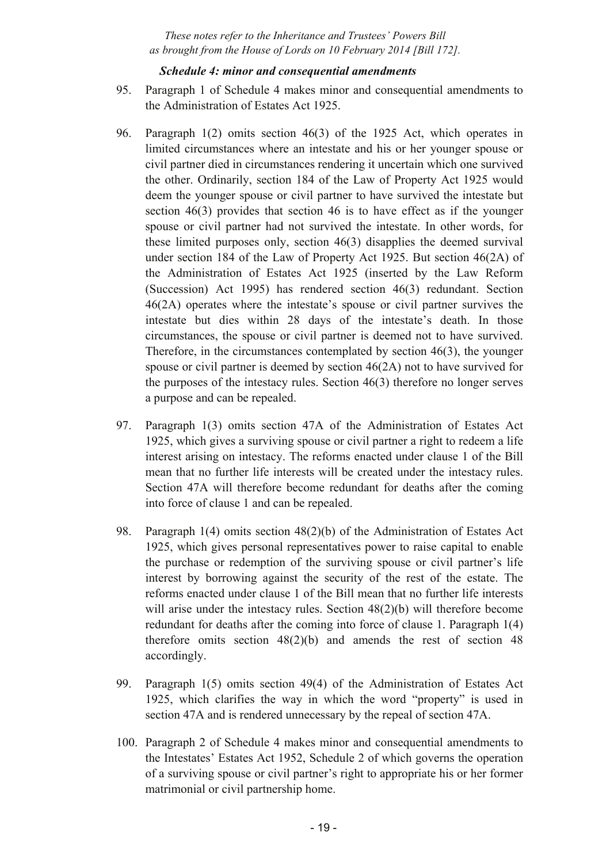#### *Schedule 4: minor and consequential amendments*

- 95. Paragraph 1 of Schedule 4 makes minor and consequential amendments to the Administration of Estates Act 1925.
- 96. Paragraph 1(2) omits section 46(3) of the 1925 Act, which operates in limited circumstances where an intestate and his or her younger spouse or civil partner died in circumstances rendering it uncertain which one survived the other. Ordinarily, section 184 of the Law of Property Act 1925 would deem the younger spouse or civil partner to have survived the intestate but section 46(3) provides that section 46 is to have effect as if the younger spouse or civil partner had not survived the intestate. In other words, for these limited purposes only, section 46(3) disapplies the deemed survival under section 184 of the Law of Property Act 1925. But section 46(2A) of the Administration of Estates Act 1925 (inserted by the Law Reform (Succession) Act 1995) has rendered section 46(3) redundant. Section 46(2A) operates where the intestate's spouse or civil partner survives the intestate but dies within 28 days of the intestate's death. In those circumstances, the spouse or civil partner is deemed not to have survived. Therefore, in the circumstances contemplated by section 46(3), the younger spouse or civil partner is deemed by section 46(2A) not to have survived for the purposes of the intestacy rules. Section 46(3) therefore no longer serves a purpose and can be repealed.
- 97. Paragraph 1(3) omits section 47A of the Administration of Estates Act 1925, which gives a surviving spouse or civil partner a right to redeem a life interest arising on intestacy. The reforms enacted under clause 1 of the Bill mean that no further life interests will be created under the intestacy rules. Section 47A will therefore become redundant for deaths after the coming into force of clause 1 and can be repealed.
- 98. Paragraph 1(4) omits section 48(2)(b) of the Administration of Estates Act 1925, which gives personal representatives power to raise capital to enable the purchase or redemption of the surviving spouse or civil partner's life interest by borrowing against the security of the rest of the estate. The reforms enacted under clause 1 of the Bill mean that no further life interests will arise under the intestacy rules. Section 48(2)(b) will therefore become redundant for deaths after the coming into force of clause 1. Paragraph 1(4) therefore omits section  $48(2)(b)$  and amends the rest of section  $48$ accordingly.
- 99. Paragraph 1(5) omits section 49(4) of the Administration of Estates Act 1925, which clarifies the way in which the word "property" is used in section 47A and is rendered unnecessary by the repeal of section 47A.
- 100. Paragraph 2 of Schedule 4 makes minor and consequential amendments to the Intestates' Estates Act 1952, Schedule 2 of which governs the operation of a surviving spouse or civil partner's right to appropriate his or her former matrimonial or civil partnership home.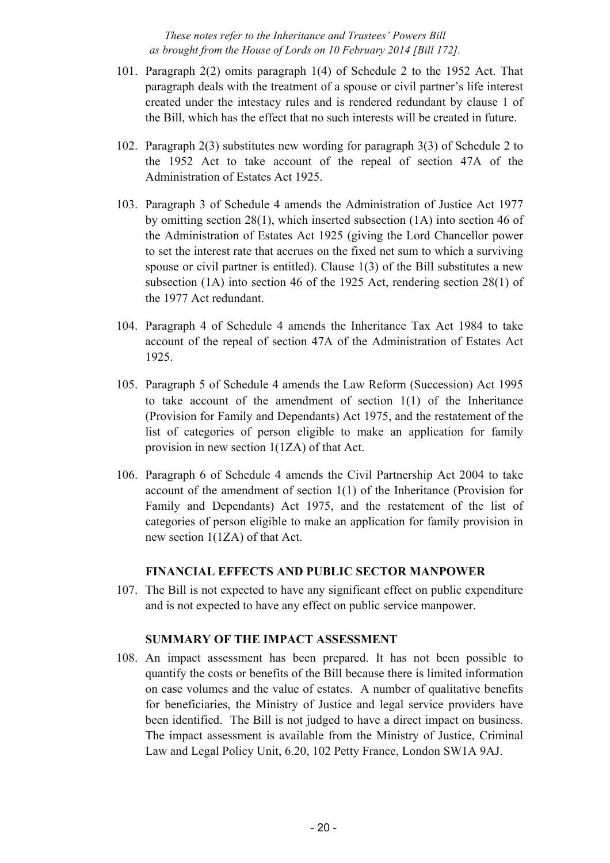- 101. Paragraph 2(2) omits paragraph 1(4) of Schedule 2 to the 1952 Act. That paragraph deals with the treatment of a spouse or civil partner's life interest created under the intestacy rules and is rendered redundant by clause 1 of the Bill, which has the effect that no such interests will be created in future.
- 102. Paragraph 2(3) substitutes new wording for paragraph 3(3) of Schedule 2 to the 1952 Act to take account of the repeal of section 47A of the Administration of Estates Act 1925.
- 103. Paragraph 3 of Schedule 4 amends the Administration of Justice Act 1977 by omitting section 28(1), which inserted subsection (1A) into section 46 of the Administration of Estates Act 1925 (giving the Lord Chancellor power to set the interest rate that accrues on the fixed net sum to which a surviving spouse or civil partner is entitled). Clause 1(3) of the Bill substitutes a new subsection (1A) into section 46 of the 1925 Act, rendering section 28(1) of the 1977 Act redundant.
- 104. Paragraph 4 of Schedule 4 amends the Inheritance Tax Act 1984 to take account of the repeal of section 47A of the Administration of Estates Act 1925.
- 105. Paragraph 5 of Schedule 4 amends the Law Reform (Succession) Act 1995 to take account of the amendment of section 1(1) of the Inheritance (Provision for Family and Dependants) Act 1975, and the restatement of the list of categories of person eligible to make an application for family provision in new section 1(1ZA) of that Act.
- 106. Paragraph 6 of Schedule 4 amends the Civil Partnership Act 2004 to take account of the amendment of section 1(1) of the Inheritance (Provision for Family and Dependants) Act 1975, and the restatement of the list of categories of person eligible to make an application for family provision in new section 1(1ZA) of that Act.

## **FINANCIAL EFFECTS AND PUBLIC SECTOR MANPOWER**

107. The Bill is not expected to have any significant effect on public expenditure and is not expected to have any effect on public service manpower.

## **SUMMARY OF THE IMPACT ASSESSMENT**

108. An impact assessment has been prepared. It has not been possible to quantify the costs or benefits of the Bill because there is limited information on case volumes and the value of estates. A number of qualitative benefits for beneficiaries, the Ministry of Justice and legal service providers have been identified. The Bill is not judged to have a direct impact on business. The impact assessment is available from the Ministry of Justice, Criminal Law and Legal Policy Unit, 6.20, 102 Petty France, London SW1A 9AJ.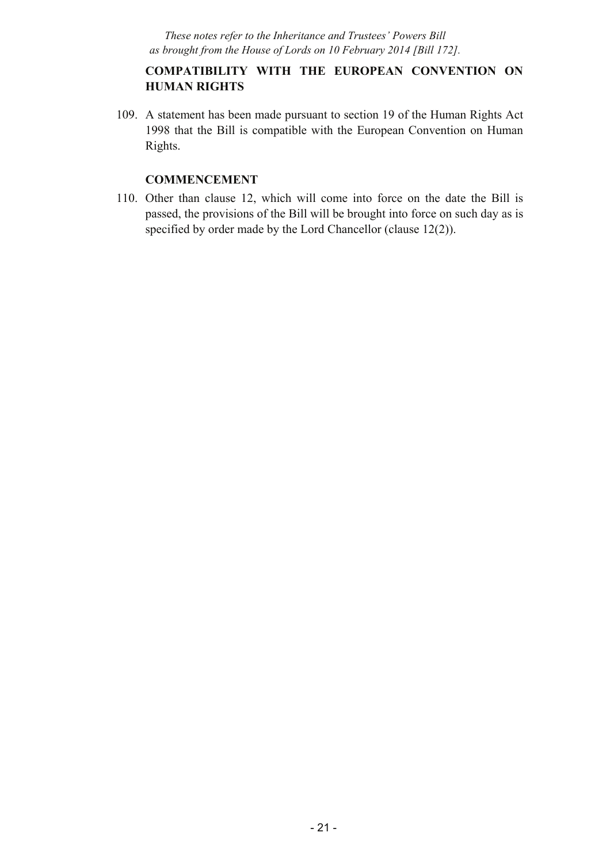## **COMPATIBILITY WITH THE EUROPEAN CONVENTION ON HUMAN RIGHTS**

109. A statement has been made pursuant to section 19 of the Human Rights Act 1998 that the Bill is compatible with the European Convention on Human Rights.

## **COMMENCEMENT**

110. Other than clause 12, which will come into force on the date the Bill is passed, the provisions of the Bill will be brought into force on such day as is specified by order made by the Lord Chancellor (clause 12(2)).